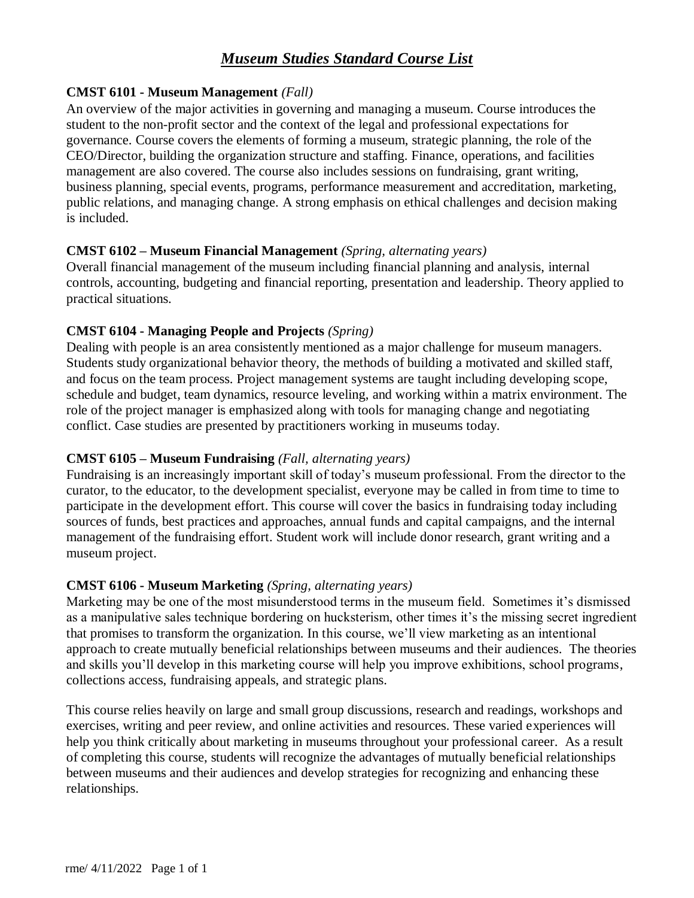#### **CMST 6101 - Museum Management** *(Fall)*

An overview of the major activities in governing and managing a museum. Course introduces the student to the non-profit sector and the context of the legal and professional expectations for governance. Course covers the elements of forming a museum, strategic planning, the role of the CEO/Director, building the organization structure and staffing. Finance, operations, and facilities management are also covered. The course also includes sessions on fundraising, grant writing, business planning, special events, programs, performance measurement and accreditation, marketing, public relations, and managing change. A strong emphasis on ethical challenges and decision making is included.

#### **CMST 6102 – Museum Financial Management** *(Spring, alternating years)*

Overall financial management of the museum including financial planning and analysis, internal controls, accounting, budgeting and financial reporting, presentation and leadership. Theory applied to practical situations.

#### **CMST 6104 - Managing People and Projects** *(Spring)*

Dealing with people is an area consistently mentioned as a major challenge for museum managers. Students study organizational behavior theory, the methods of building a motivated and skilled staff, and focus on the team process. Project management systems are taught including developing scope, schedule and budget, team dynamics, resource leveling, and working within a matrix environment. The role of the project manager is emphasized along with tools for managing change and negotiating conflict. Case studies are presented by practitioners working in museums today.

## **CMST 6105 – Museum Fundraising** *(Fall, alternating years)*

Fundraising is an increasingly important skill of today's museum professional. From the director to the curator, to the educator, to the development specialist, everyone may be called in from time to time to participate in the development effort. This course will cover the basics in fundraising today including sources of funds, best practices and approaches, annual funds and capital campaigns, and the internal management of the fundraising effort. Student work will include donor research, grant writing and a museum project.

## **CMST 6106 - Museum Marketing** *(Spring, alternating years)*

Marketing may be one of the most misunderstood terms in the museum field. Sometimes it's dismissed as a manipulative sales technique bordering on hucksterism, other times it's the missing secret ingredient that promises to transform the organization. In this course, we'll view marketing as an intentional approach to create mutually beneficial relationships between museums and their audiences. The theories and skills you'll develop in this marketing course will help you improve exhibitions, school programs, collections access, fundraising appeals, and strategic plans.

This course relies heavily on large and small group discussions, research and readings, workshops and exercises, writing and peer review, and online activities and resources. These varied experiences will help you think critically about marketing in museums throughout your professional career. As a result of completing this course, students will recognize the advantages of mutually beneficial relationships between museums and their audiences and develop strategies for recognizing and enhancing these relationships.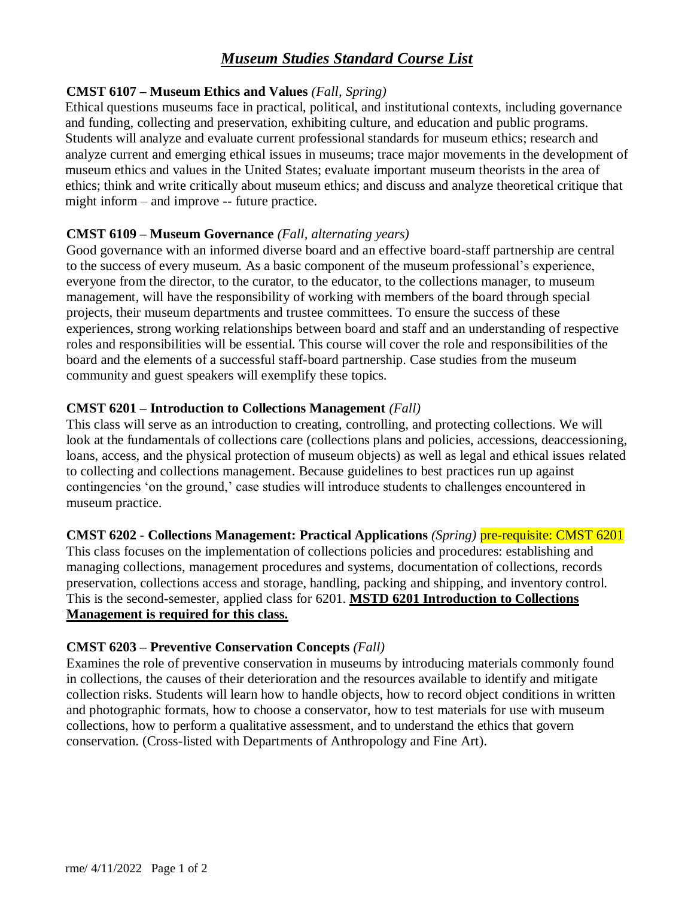#### **CMST 6107 – Museum Ethics and Values** *(Fall, Spring)*

Ethical questions museums face in practical, political, and institutional contexts, including governance and funding, collecting and preservation, exhibiting culture, and education and public programs. Students will analyze and evaluate current professional standards for museum ethics; research and analyze current and emerging ethical issues in museums; trace major movements in the development of museum ethics and values in the United States; evaluate important museum theorists in the area of ethics; think and write critically about museum ethics; and discuss and analyze theoretical critique that might inform – and improve -- future practice.

## **CMST 6109 – Museum Governance** *(Fall, alternating years)*

Good governance with an informed diverse board and an effective board-staff partnership are central to the success of every museum. As a basic component of the museum professional's experience, everyone from the director, to the curator, to the educator, to the collections manager, to museum management, will have the responsibility of working with members of the board through special projects, their museum departments and trustee committees. To ensure the success of these experiences, strong working relationships between board and staff and an understanding of respective roles and responsibilities will be essential. This course will cover the role and responsibilities of the board and the elements of a successful staff-board partnership. Case studies from the museum community and guest speakers will exemplify these topics.

#### **CMST 6201 – Introduction to Collections Management** *(Fall)*

This class will serve as an introduction to creating, controlling, and protecting collections. We will look at the fundamentals of collections care (collections plans and policies, accessions, deaccessioning, loans, access, and the physical protection of museum objects) as well as legal and ethical issues related to collecting and collections management. Because guidelines to best practices run up against contingencies 'on the ground,' case studies will introduce students to challenges encountered in museum practice.

## **CMST 6202 - Collections Management: Practical Applications** *(Spring)* pre-requisite: CMST 6201

This class focuses on the implementation of collections policies and procedures: establishing and managing collections, management procedures and systems, documentation of collections, records preservation, collections access and storage, handling, packing and shipping, and inventory control. This is the second-semester, applied class for 6201. **MSTD 6201 Introduction to Collections Management is required for this class.**

#### **CMST 6203 – Preventive Conservation Concepts** *(Fall)*

Examines the role of preventive conservation in museums by introducing materials commonly found in collections, the causes of their deterioration and the resources available to identify and mitigate collection risks. Students will learn how to handle objects, how to record object conditions in written and photographic formats, how to choose a conservator, how to test materials for use with museum collections, how to perform a qualitative assessment, and to understand the ethics that govern conservation. (Cross-listed with Departments of Anthropology and Fine Art).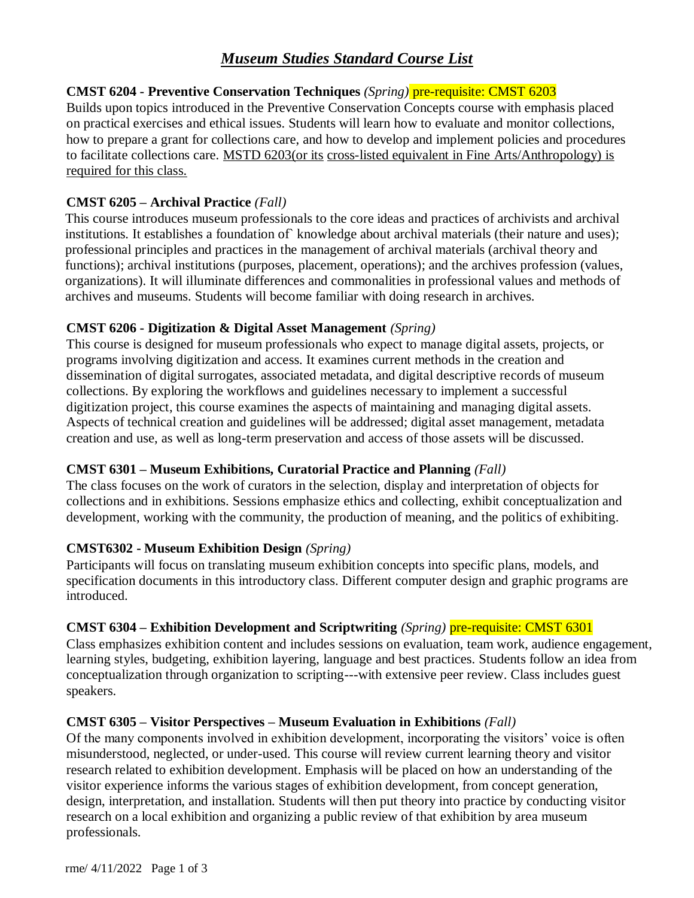# **CMST 6204 - Preventive Conservation Techniques** *(Spring)* pre-requisite: CMST 6203

Builds upon topics introduced in the Preventive Conservation Concepts course with emphasis placed on practical exercises and ethical issues. Students will learn how to evaluate and monitor collections, how to prepare a grant for collections care, and how to develop and implement policies and procedures to facilitate collections care. MSTD 6203(or its cross-listed equivalent in Fine Arts/Anthropology) is required for this class.

# **CMST 6205 – Archival Practice** *(Fall)*

This course introduces museum professionals to the core ideas and practices of archivists and archival institutions. It establishes a foundation of knowledge about archival materials (their nature and uses); professional principles and practices in the management of archival materials (archival theory and functions); archival institutions (purposes, placement, operations); and the archives profession (values, organizations). It will illuminate differences and commonalities in professional values and methods of archives and museums. Students will become familiar with doing research in archives.

# **CMST 6206 - Digitization & Digital Asset Management** *(Spring)*

This course is designed for museum professionals who expect to manage digital assets, projects, or programs involving digitization and access. It examines current methods in the creation and dissemination of digital surrogates, associated metadata, and digital descriptive records of museum collections. By exploring the workflows and guidelines necessary to implement a successful digitization project, this course examines the aspects of maintaining and managing digital assets. Aspects of technical creation and guidelines will be addressed; digital asset management, metadata creation and use, as well as long-term preservation and access of those assets will be discussed.

## **CMST 6301 – Museum Exhibitions, Curatorial Practice and Planning** *(Fall)*

The class focuses on the work of curators in the selection, display and interpretation of objects for collections and in exhibitions. Sessions emphasize ethics and collecting, exhibit conceptualization and development, working with the community, the production of meaning, and the politics of exhibiting.

## **CMST6302 - Museum Exhibition Design** *(Spring)*

Participants will focus on translating museum exhibition concepts into specific plans, models, and specification documents in this introductory class. Different computer design and graphic programs are introduced.

## **CMST 6304 – Exhibition Development and Scriptwriting** *(Spring)* pre-requisite: CMST 6301

Class emphasizes exhibition content and includes sessions on evaluation, team work, audience engagement, learning styles, budgeting, exhibition layering, language and best practices. Students follow an idea from conceptualization through organization to scripting---with extensive peer review. Class includes guest speakers.

## **CMST 6305 – Visitor Perspectives – Museum Evaluation in Exhibitions** *(Fall)*

Of the many components involved in exhibition development, incorporating the visitors' voice is often misunderstood, neglected, or under-used. This course will review current learning theory and visitor research related to exhibition development. Emphasis will be placed on how an understanding of the visitor experience informs the various stages of exhibition development, from concept generation, design, interpretation, and installation. Students will then put theory into practice by conducting visitor research on a local exhibition and organizing a public review of that exhibition by area museum professionals.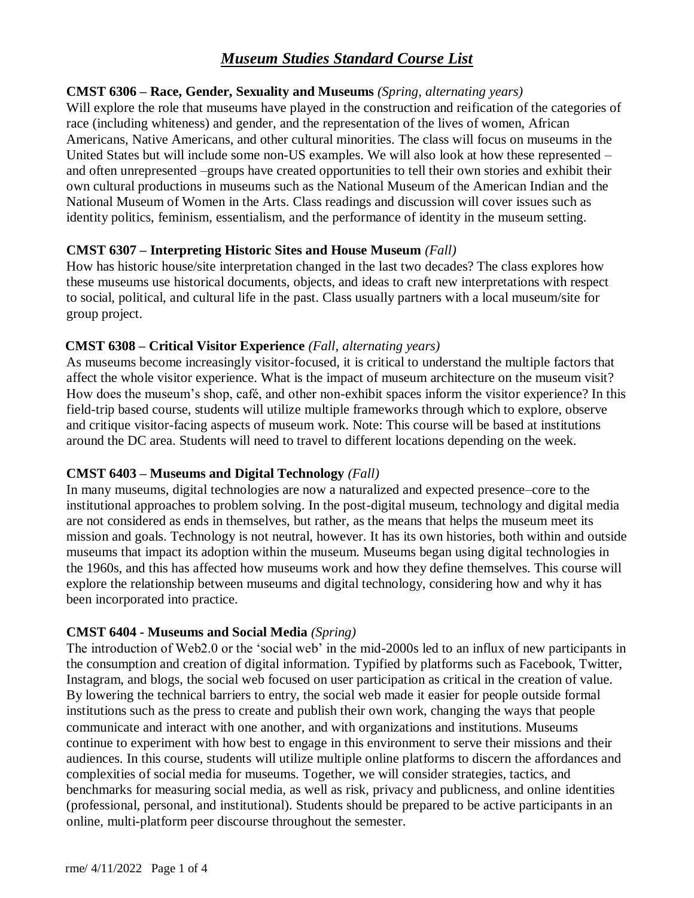## **CMST 6306 – Race, Gender, Sexuality and Museums** *(Spring, alternating years)*

Will explore the role that museums have played in the construction and reification of the categories of race (including whiteness) and gender, and the representation of the lives of women, African Americans, Native Americans, and other cultural minorities. The class will focus on museums in the United States but will include some non-US examples. We will also look at how these represented – and often unrepresented –groups have created opportunities to tell their own stories and exhibit their own cultural productions in museums such as the National Museum of the American Indian and the National Museum of Women in the Arts. Class readings and discussion will cover issues such as identity politics, feminism, essentialism, and the performance of identity in the museum setting.

#### **CMST 6307 – Interpreting Historic Sites and House Museum** *(Fall)*

How has historic house/site interpretation changed in the last two decades? The class explores how these museums use historical documents, objects, and ideas to craft new interpretations with respect to social, political, and cultural life in the past. Class usually partners with a local museum/site for group project.

#### **CMST 6308 – Critical Visitor Experience** *(Fall, alternating years)*

As museums become increasingly visitor-focused, it is critical to understand the multiple factors that affect the whole visitor experience. What is the impact of museum architecture on the museum visit? How does the museum's shop, café, and other non-exhibit spaces inform the visitor experience? In this field-trip based course, students will utilize multiple frameworks through which to explore, observe and critique visitor-facing aspects of museum work. Note: This course will be based at institutions around the DC area. Students will need to travel to different locations depending on the week.

## **CMST 6403 – Museums and Digital Technology** *(Fall)*

In many museums, digital technologies are now a naturalized and expected presence–core to the institutional approaches to problem solving. In the post-digital museum, technology and digital media are not considered as ends in themselves, but rather, as the means that helps the museum meet its mission and goals. Technology is not neutral, however. It has its own histories, both within and outside museums that impact its adoption within the museum. Museums began using digital technologies in the 1960s, and this has affected how museums work and how they define themselves. This course will explore the relationship between museums and digital technology, considering how and why it has been incorporated into practice.

## **CMST 6404 - Museums and Social Media** *(Spring)*

The introduction of Web2.0 or the 'social web' in the mid-2000s led to an influx of new participants in the consumption and creation of digital information. Typified by platforms such as Facebook, Twitter, Instagram, and blogs, the social web focused on user participation as critical in the creation of value. By lowering the technical barriers to entry, the social web made it easier for people outside formal institutions such as the press to create and publish their own work, changing the ways that people communicate and interact with one another, and with organizations and institutions. Museums continue to experiment with how best to engage in this environment to serve their missions and their audiences. In this course, students will utilize multiple online platforms to discern the affordances and complexities of social media for museums. Together, we will consider strategies, tactics, and benchmarks for measuring social media, as well as risk, privacy and publicness, and online identities (professional, personal, and institutional). Students should be prepared to be active participants in an online, multi-platform peer discourse throughout the semester.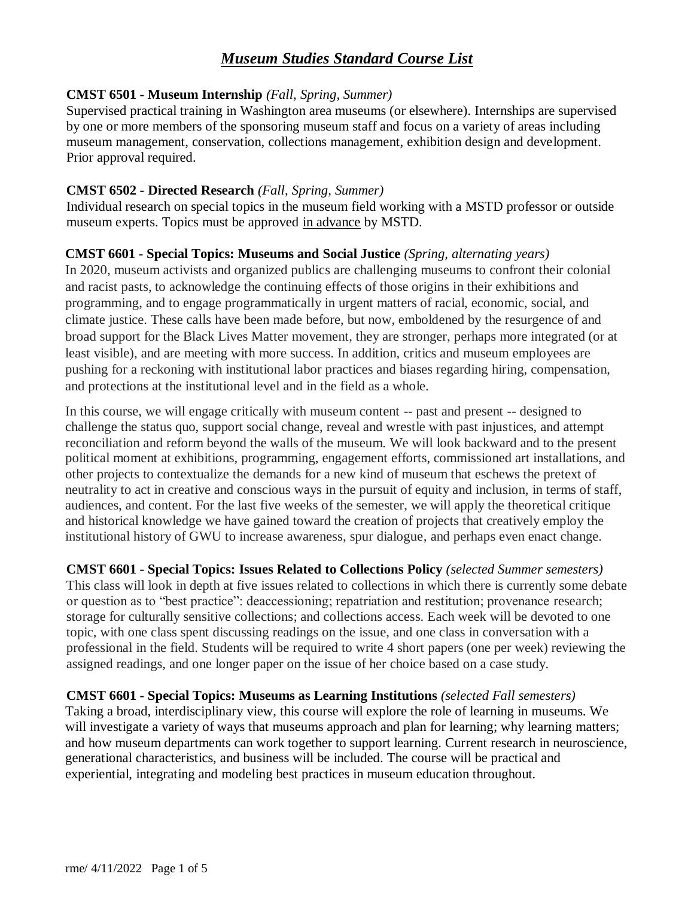## **CMST 6501 - Museum Internship** *(Fall, Spring, Summer)*

Supervised practical training in Washington area museums (or elsewhere). Internships are supervised by one or more members of the sponsoring museum staff and focus on a variety of areas including museum management, conservation, collections management, exhibition design and development. Prior approval required.

# **CMST 6502 - Directed Research** *(Fall, Spring, Summer)*

Individual research on special topics in the museum field working with a MSTD professor or outside museum experts. Topics must be approved in advance by MSTD.

## **CMST 6601 - Special Topics: Museums and Social Justice** *(Spring, alternating years)*

In 2020, museum activists and organized publics are challenging museums to confront their colonial and racist pasts, to acknowledge the continuing effects of those origins in their exhibitions and programming, and to engage programmatically in urgent matters of racial, economic, social, and climate justice. These calls have been made before, but now, emboldened by the resurgence of and broad support for the Black Lives Matter movement, they are stronger, perhaps more integrated (or at least visible), and are meeting with more success. In addition, critics and museum employees are pushing for a reckoning with institutional labor practices and biases regarding hiring, compensation, and protections at the institutional level and in the field as a whole.

In this course, we will engage critically with museum content -- past and present -- designed to challenge the status quo, support social change, reveal and wrestle with past injustices, and attempt reconciliation and reform beyond the walls of the museum. We will look backward and to the present political moment at exhibitions, programming, engagement efforts, commissioned art installations, and other projects to contextualize the demands for a new kind of museum that eschews the pretext of neutrality to act in creative and conscious ways in the pursuit of equity and inclusion, in terms of staff, audiences, and content. For the last five weeks of the semester, we will apply the theoretical critique and historical knowledge we have gained toward the creation of projects that creatively employ the institutional history of GWU to increase awareness, spur dialogue, and perhaps even enact change.

**CMST 6601 - Special Topics: Issues Related to Collections Policy** *(selected Summer semesters)* This class will look in depth at five issues related to collections in which there is currently some debate or question as to "best practice": deaccessioning; repatriation and restitution; provenance research; storage for culturally sensitive collections; and collections access. Each week will be devoted to one topic, with one class spent discussing readings on the issue, and one class in conversation with a professional in the field. Students will be required to write 4 short papers (one per week) reviewing the assigned readings, and one longer paper on the issue of her choice based on a case study.

## **CMST 6601 - Special Topics: Museums as Learning Institutions** *(selected Fall semesters)*

Taking a broad, interdisciplinary view, this course will explore the role of learning in museums. We will investigate a variety of ways that museums approach and plan for learning; why learning matters; and how museum departments can work together to support learning. Current research in neuroscience, generational characteristics, and business will be included. The course will be practical and experiential, integrating and modeling best practices in museum education throughout.